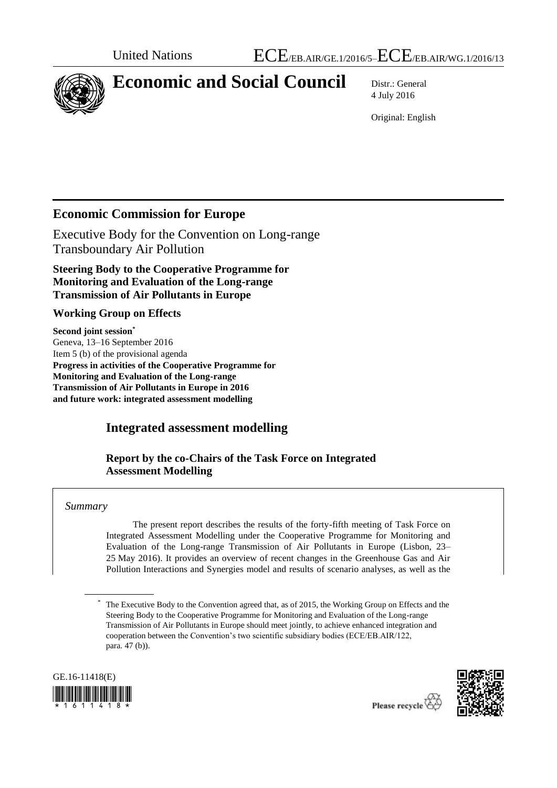

# **Economic and Social Council** Distr.: General

4 July 2016

Original: English

# **Economic Commission for Europe**

Executive Body for the Convention on Long-range Transboundary Air Pollution

**Steering Body to the Cooperative Programme for Monitoring and Evaluation of the Long-range Transmission of Air Pollutants in Europe** 

#### **Working Group on Effects**

**Second joint session\*** Geneva, 13–16 September 2016 Item 5 (b) of the provisional agenda **Progress in activities of the Cooperative Programme for Monitoring and Evaluation of the Long-range Transmission of Air Pollutants in Europe in 2016 and future work: integrated assessment modelling**

#### **Integrated assessment modelling**

**Report by the co-Chairs of the Task Force on Integrated Assessment Modelling**

#### *Summary*

The present report describes the results of the forty-fifth meeting of Task Force on Integrated Assessment Modelling under the Cooperative Programme for Monitoring and Evaluation of the Long-range Transmission of Air Pollutants in Europe (Lisbon, 23– 25 May 2016). It provides an overview of recent changes in the Greenhouse Gas and Air Pollution Interactions and Synergies model and results of scenario analyses, as well as the

The Executive Body to the Convention agreed that, as of 2015, the Working Group on Effects and the Steering Body to the Cooperative Programme for Monitoring and Evaluation of the Long-range Transmission of Air Pollutants in Europe should meet jointly, to achieve enhanced integration and cooperation between the Convention's two scientific subsidiary bodies (ECE/EB.AIR/122, para. 47 (b)).



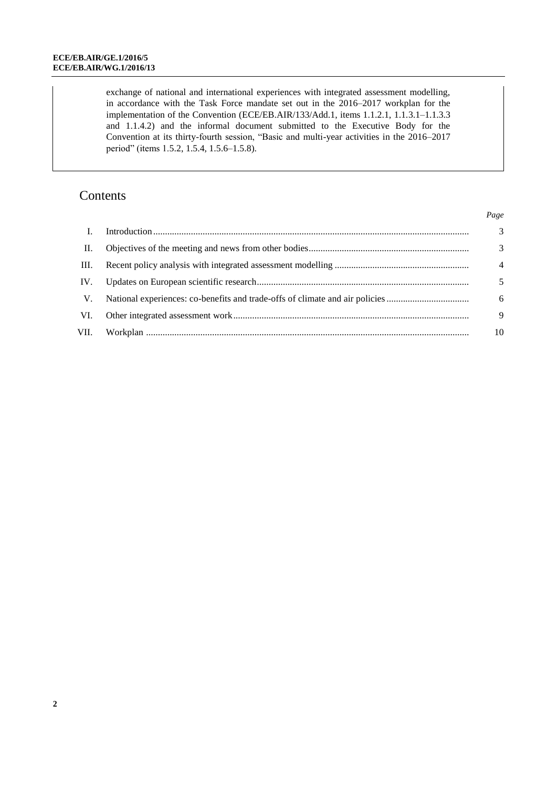exchange of national and international experiences with integrated assessment modelling, in accordance with the Task Force mandate set out in the 2016–2017 workplan for the implementation of the Convention (ECE/EB.AIR/133/Add.1, items 1.1.2.1, 1.1.3.1–1.1.3.3 and 1.1.4.2) and the informal document submitted to the Executive Body for the Convention at its thirty-fourth session, "Basic and multi-year activities in the 2016–2017 period" (items 1.5.2, 1.5.4, 1.5.6–1.5.8).

# Contents

|      |                                                                              | Page           |
|------|------------------------------------------------------------------------------|----------------|
|      |                                                                              | $\overline{3}$ |
| II.  |                                                                              | 3              |
| III. |                                                                              | $\overline{4}$ |
| IV.  |                                                                              | 5              |
| V.   | National experiences: co-benefits and trade-offs of climate and air policies | 6              |
| VI.  |                                                                              | 9              |
| VII. |                                                                              | 10             |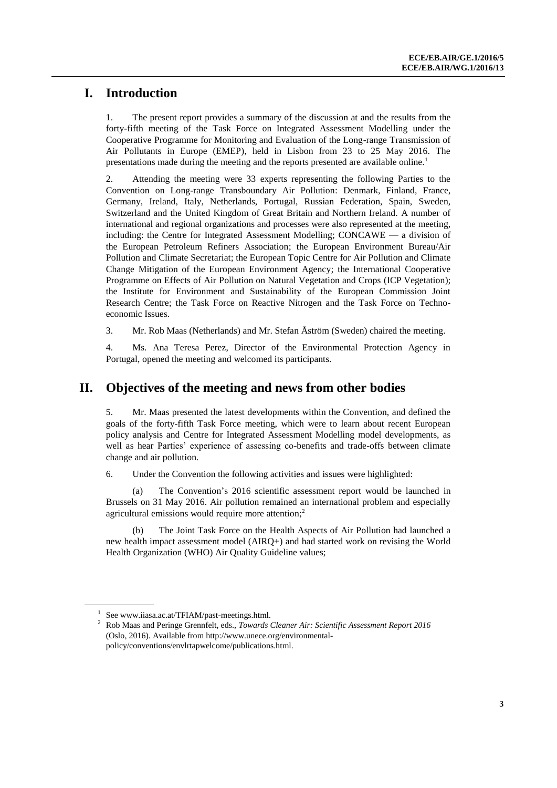# **I. Introduction**

1. The present report provides a summary of the discussion at and the results from the forty-fifth meeting of the Task Force on Integrated Assessment Modelling under the Cooperative Programme for Monitoring and Evaluation of the Long-range Transmission of Air Pollutants in Europe (EMEP), held in Lisbon from 23 to 25 May 2016. The presentations made during the meeting and the reports presented are available online.<sup>1</sup>

2. Attending the meeting were 33 experts representing the following Parties to the Convention on Long-range Transboundary Air Pollution: Denmark, Finland, France, Germany, Ireland, Italy, Netherlands, Portugal, Russian Federation, Spain, Sweden, Switzerland and the United Kingdom of Great Britain and Northern Ireland. A number of international and regional organizations and processes were also represented at the meeting, including: the Centre for Integrated Assessment Modelling; CONCAWE — a division of the European Petroleum Refiners Association; the European Environment Bureau/Air Pollution and Climate Secretariat; the European Topic Centre for Air Pollution and Climate Change Mitigation of the European Environment Agency; the International Cooperative Programme on Effects of Air Pollution on Natural Vegetation and Crops (ICP Vegetation); the Institute for Environment and Sustainability of the European Commission Joint Research Centre; the Task Force on Reactive Nitrogen and the Task Force on Technoeconomic Issues.

3. Mr. Rob Maas (Netherlands) and Mr. Stefan Åström (Sweden) chaired the meeting.

4. Ms. Ana Teresa Perez, Director of the Environmental Protection Agency in Portugal, opened the meeting and welcomed its participants.

## **II. Objectives of the meeting and news from other bodies**

5. Mr. Maas presented the latest developments within the Convention, and defined the goals of the forty-fifth Task Force meeting, which were to learn about recent European policy analysis and Centre for Integrated Assessment Modelling model developments, as well as hear Parties' experience of assessing co-benefits and trade-offs between climate change and air pollution.

6. Under the Convention the following activities and issues were highlighted:

The Convention's 2016 scientific assessment report would be launched in Brussels on 31 May 2016. Air pollution remained an international problem and especially agricultural emissions would require more attention;<sup>2</sup>

(b) The Joint Task Force on the Health Aspects of Air Pollution had launched a new health impact assessment model (AIRQ+) and had started work on revising the World Health Organization (WHO) Air Quality Guideline values;

<sup>1</sup> Se[e www.iiasa.ac.at/TFIAM/past-meetings.html.](http://www.iiasa.ac.at/TFIAM/past-meetings.html)

<sup>2</sup> Rob Maas and Peringe Grennfelt, eds., *Towards Cleaner Air: Scientific Assessment Report 2016* (Oslo, 2016). Available fro[m http://www.unece.org/environmental](http://www.unece.org/environmental-policy/conventions/envlrtapwelcome/publications.html)[policy/conventions/envlrtapwelcome/publications.html.](http://www.unece.org/environmental-policy/conventions/envlrtapwelcome/publications.html)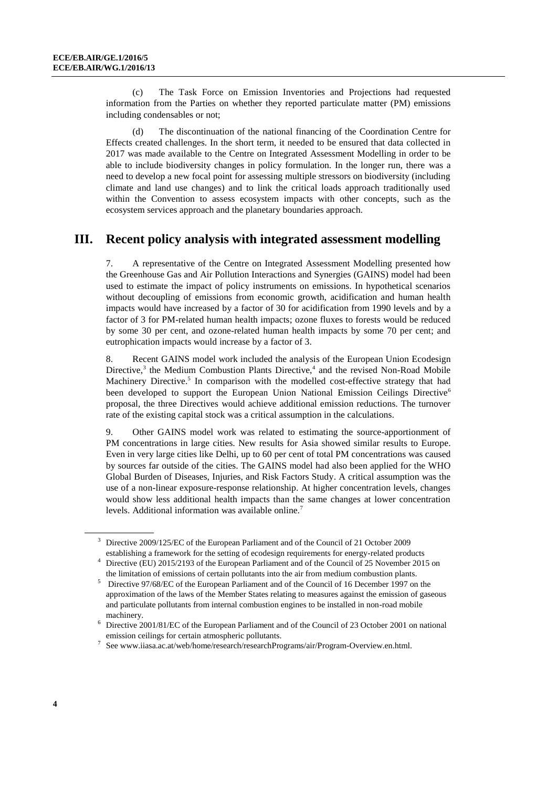(c) The Task Force on Emission Inventories and Projections had requested information from the Parties on whether they reported particulate matter (PM) emissions including condensables or not;

(d) The discontinuation of the national financing of the Coordination Centre for Effects created challenges. In the short term, it needed to be ensured that data collected in 2017 was made available to the Centre on Integrated Assessment Modelling in order to be able to include biodiversity changes in policy formulation. In the longer run, there was a need to develop a new focal point for assessing multiple stressors on biodiversity (including climate and land use changes) and to link the critical loads approach traditionally used within the Convention to assess ecosystem impacts with other concepts, such as the ecosystem services approach and the planetary boundaries approach.

#### **III. Recent policy analysis with integrated assessment modelling**

7. A representative of the Centre on Integrated Assessment Modelling presented how the Greenhouse Gas and Air Pollution Interactions and Synergies (GAINS) model had been used to estimate the impact of policy instruments on emissions. In hypothetical scenarios without decoupling of emissions from economic growth, acidification and human health impacts would have increased by a factor of 30 for acidification from 1990 levels and by a factor of 3 for PM-related human health impacts; ozone fluxes to forests would be reduced by some 30 per cent, and ozone-related human health impacts by some 70 per cent; and eutrophication impacts would increase by a factor of 3.

8. Recent GAINS model work included the analysis of the European Union Ecodesign Directive,<sup>3</sup> the Medium Combustion Plants Directive,<sup>4</sup> and the revised Non-Road Mobile Machinery Directive.<sup>5</sup> In comparison with the modelled cost-effective strategy that had been developed to support the European Union National Emission Ceilings Directive<sup>6</sup> proposal, the three Directives would achieve additional emission reductions. The turnover rate of the existing capital stock was a critical assumption in the calculations.

9. Other GAINS model work was related to estimating the source-apportionment of PM concentrations in large cities. New results for Asia showed similar results to Europe. Even in very large cities like Delhi, up to 60 per cent of total PM concentrations was caused by sources far outside of the cities. The GAINS model had also been applied for the WHO Global Burden of Diseases, Injuries, and Risk Factors Study. A critical assumption was the use of a non-linear exposure-response relationship. At higher concentration levels, changes would show less additional health impacts than the same changes at lower concentration levels. Additional information was available online.<sup>7</sup>

<sup>3</sup> Directive 2009/125/EC of the European Parliament and of the Council of 21 October 2009 establishing a framework for the setting of ecodesign requirements for energy-related products

<sup>4</sup> Directive (EU) 2015/2193 of the European Parliament and of the Council of 25 November 2015 on the limitation of emissions of certain pollutants into the air from medium combustion plants.

<sup>5</sup> Directive 97/68/EC of the European Parliament and of the Council of 16 December 1997 on the approximation of the laws of the Member States relating to measures against the emission of gaseous and particulate pollutants from internal combustion engines to be installed in non-road mobile machinery.

<sup>6</sup> Directive 2001/81/EC of the European Parliament and of the Council of 23 October 2001 on national emission ceilings for certain atmospheric pollutants.

<sup>7</sup> Se[e www.iiasa.ac.at/web/home/research/researchPrograms/air/Program-Overview.en.html.](http://www.iiasa.ac.at/web/home/research/researchPrograms/air/Program-Overview.en.html)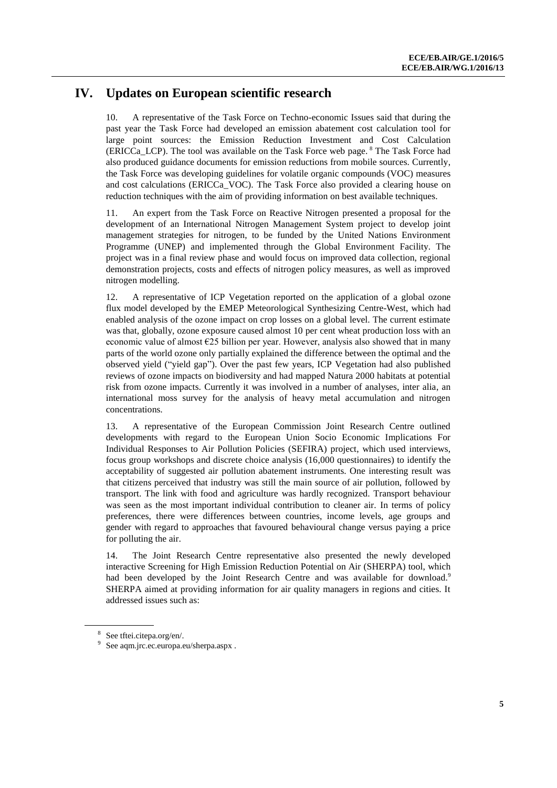## **IV. Updates on European scientific research**

10. A representative of the Task Force on Techno-economic Issues said that during the past year the Task Force had developed an emission abatement cost calculation tool for large point sources: the Emission Reduction Investment and Cost Calculation (ERICCa\_LCP). The tool was available on the Task Force web page. <sup>8</sup> The Task Force had also produced guidance documents for emission reductions from mobile sources. Currently, the Task Force was developing guidelines for volatile organic compounds (VOC) measures and cost calculations (ERICCa\_VOC). The Task Force also provided a clearing house on reduction techniques with the aim of providing information on best available techniques.

11. An expert from the Task Force on Reactive Nitrogen presented a proposal for the development of an International Nitrogen Management System project to develop joint management strategies for nitrogen, to be funded by the United Nations Environment Programme (UNEP) and implemented through the Global Environment Facility. The project was in a final review phase and would focus on improved data collection, regional demonstration projects, costs and effects of nitrogen policy measures, as well as improved nitrogen modelling.

12. A representative of ICP Vegetation reported on the application of a global ozone flux model developed by the EMEP Meteorological Synthesizing Centre-West, which had enabled analysis of the ozone impact on crop losses on a global level. The current estimate was that, globally, ozone exposure caused almost 10 per cent wheat production loss with an economic value of almost €25 billion per year. However, analysis also showed that in many parts of the world ozone only partially explained the difference between the optimal and the observed yield ("yield gap"). Over the past few years, ICP Vegetation had also published reviews of ozone impacts on biodiversity and had mapped Natura 2000 habitats at potential risk from ozone impacts. Currently it was involved in a number of analyses, inter alia, an international moss survey for the analysis of heavy metal accumulation and nitrogen concentrations.

13. A representative of the European Commission Joint Research Centre outlined developments with regard to the European Union Socio Economic Implications For Individual Responses to Air Pollution Policies (SEFIRA) project, which used interviews, focus group workshops and discrete choice analysis (16,000 questionnaires) to identify the acceptability of suggested air pollution abatement instruments. One interesting result was that citizens perceived that industry was still the main source of air pollution, followed by transport. The link with food and agriculture was hardly recognized. Transport behaviour was seen as the most important individual contribution to cleaner air. In terms of policy preferences, there were differences between countries, income levels, age groups and gender with regard to approaches that favoured behavioural change versus paying a price for polluting the air.

14. The Joint Research Centre representative also presented the newly developed interactive Screening for High Emission Reduction Potential on Air (SHERPA) tool, which had been developed by the Joint Research Centre and was available for download.<sup>9</sup> SHERPA aimed at providing information for air quality managers in regions and cities. It addressed issues such as:

<sup>8</sup> Se[e tftei.citepa.org/en/.](http://tftei.citepa.org/en/) 

<sup>9</sup> Se[e aqm.jrc.ec.europa.eu/sherpa.aspx](http://aqm.jrc.ec.europa.eu/sherpa.aspx) .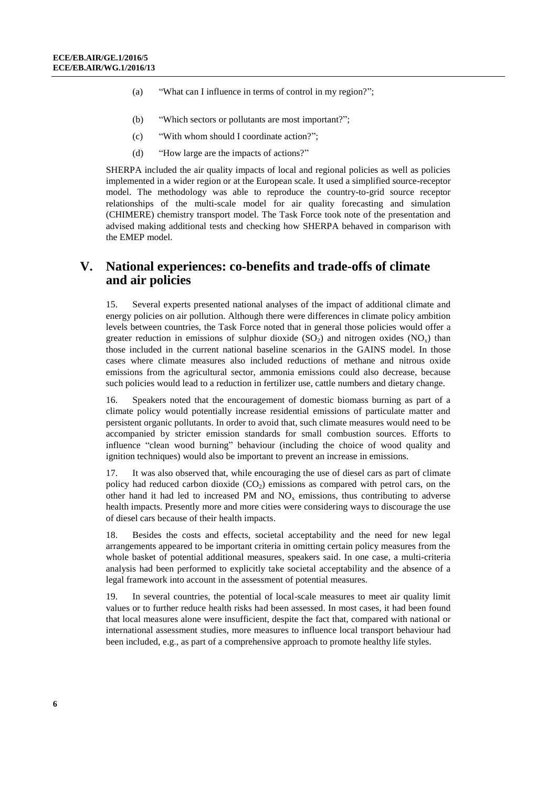- (a) "What can I influence in terms of control in my region?";
- (b) "Which sectors or pollutants are most important?";
- (c) "With whom should I coordinate action?";
- (d) "How large are the impacts of actions?"

SHERPA included the air quality impacts of local and regional policies as well as policies implemented in a wider region or at the European scale. It used a simplified source-receptor model. The methodology was able to reproduce the country-to-grid source receptor relationships of the multi-scale model for air quality forecasting and simulation (CHIMERE) chemistry transport model. The Task Force took note of the presentation and advised making additional tests and checking how SHERPA behaved in comparison with the EMEP model.

#### **V. National experiences: co-benefits and trade-offs of climate and air policies**

15. Several experts presented national analyses of the impact of additional climate and energy policies on air pollution. Although there were differences in climate policy ambition levels between countries, the Task Force noted that in general those policies would offer a greater reduction in emissions of sulphur dioxide  $(SO<sub>2</sub>)$  and nitrogen oxides  $(NO<sub>x</sub>)$  than those included in the current national baseline scenarios in the GAINS model. In those cases where climate measures also included reductions of methane and nitrous oxide emissions from the agricultural sector, ammonia emissions could also decrease, because such policies would lead to a reduction in fertilizer use, cattle numbers and dietary change.

16. Speakers noted that the encouragement of domestic biomass burning as part of a climate policy would potentially increase residential emissions of particulate matter and persistent organic pollutants. In order to avoid that, such climate measures would need to be accompanied by stricter emission standards for small combustion sources. Efforts to influence "clean wood burning" behaviour (including the choice of wood quality and ignition techniques) would also be important to prevent an increase in emissions.

17. It was also observed that, while encouraging the use of diesel cars as part of climate policy had reduced carbon dioxide  $(CO<sub>2</sub>)$  emissions as compared with petrol cars, on the other hand it had led to increased PM and  $NO<sub>x</sub>$  emissions, thus contributing to adverse health impacts. Presently more and more cities were considering ways to discourage the use of diesel cars because of their health impacts.

18. Besides the costs and effects, societal acceptability and the need for new legal arrangements appeared to be important criteria in omitting certain policy measures from the whole basket of potential additional measures, speakers said. In one case, a multi-criteria analysis had been performed to explicitly take societal acceptability and the absence of a legal framework into account in the assessment of potential measures.

19. In several countries, the potential of local-scale measures to meet air quality limit values or to further reduce health risks had been assessed. In most cases, it had been found that local measures alone were insufficient, despite the fact that, compared with national or international assessment studies, more measures to influence local transport behaviour had been included, e.g., as part of a comprehensive approach to promote healthy life styles.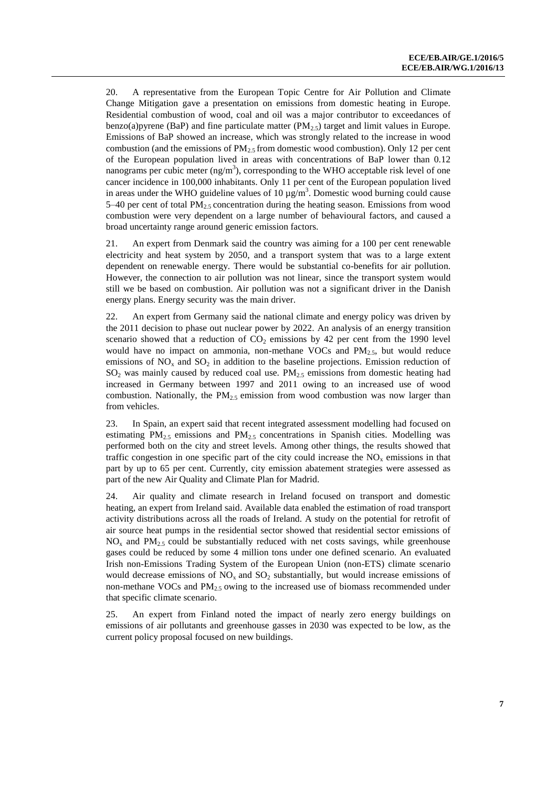20. A representative from the European Topic Centre for Air Pollution and Climate Change Mitigation gave a presentation on emissions from domestic heating in Europe. Residential combustion of wood, coal and oil was a major contributor to exceedances of benzo(a)pyrene (BaP) and fine particulate matter  $(PM_{2.5})$  target and limit values in Europe. Emissions of BaP showed an increase, which was strongly related to the increase in wood combustion (and the emissions of  $PM_{2.5}$  from domestic wood combustion). Only 12 per cent of the European population lived in areas with concentrations of BaP lower than 0.12 nanograms per cubic meter  $(ng/m<sup>3</sup>)$ , corresponding to the WHO acceptable risk level of one cancer incidence in 100,000 inhabitants. Only 11 per cent of the European population lived in areas under the WHO guideline values of 10  $\mu$ g/m<sup>3</sup>. Domestic wood burning could cause 5–40 per cent of total  $PM_{2.5}$  concentration during the heating season. Emissions from wood combustion were very dependent on a large number of behavioural factors, and caused a broad uncertainty range around generic emission factors.

21. An expert from Denmark said the country was aiming for a 100 per cent renewable electricity and heat system by 2050, and a transport system that was to a large extent dependent on renewable energy. There would be substantial co-benefits for air pollution. However, the connection to air pollution was not linear, since the transport system would still we be based on combustion. Air pollution was not a significant driver in the Danish energy plans. Energy security was the main driver.

22. An expert from Germany said the national climate and energy policy was driven by the 2011 decision to phase out nuclear power by 2022. An analysis of an energy transition scenario showed that a reduction of  $CO<sub>2</sub>$  emissions by 42 per cent from the 1990 level would have no impact on ammonia, non-methane VOCs and  $PM_{2.5}$ , but would reduce emissions of  $NO<sub>x</sub>$  and  $SO<sub>2</sub>$  in addition to the baseline projections. Emission reduction of  $SO<sub>2</sub>$  was mainly caused by reduced coal use. PM<sub>2.5</sub> emissions from domestic heating had increased in Germany between 1997 and 2011 owing to an increased use of wood combustion. Nationally, the  $PM_{2.5}$  emission from wood combustion was now larger than from vehicles.

23. In Spain, an expert said that recent integrated assessment modelling had focused on estimating  $PM_{2.5}$  emissions and  $PM_{2.5}$  concentrations in Spanish cities. Modelling was performed both on the city and street levels. Among other things, the results showed that traffic congestion in one specific part of the city could increase the  $NO<sub>x</sub>$  emissions in that part by up to 65 per cent. Currently, city emission abatement strategies were assessed as part of the new Air Quality and Climate Plan for Madrid.

24. Air quality and climate research in Ireland focused on transport and domestic heating, an expert from Ireland said. Available data enabled the estimation of road transport activity distributions across all the roads of Ireland. A study on the potential for retrofit of air source heat pumps in the residential sector showed that residential sector emissions of  $NO<sub>x</sub>$  and  $PM<sub>2.5</sub>$  could be substantially reduced with net costs savings, while greenhouse gases could be reduced by some 4 million tons under one defined scenario. An evaluated Irish non-Emissions Trading System of the European Union (non-ETS) climate scenario would decrease emissions of  $NO<sub>x</sub>$  and  $SO<sub>2</sub>$  substantially, but would increase emissions of non-methane VOCs and PM<sub>2.5</sub> owing to the increased use of biomass recommended under that specific climate scenario.

25. An expert from Finland noted the impact of nearly zero energy buildings on emissions of air pollutants and greenhouse gasses in 2030 was expected to be low, as the current policy proposal focused on new buildings.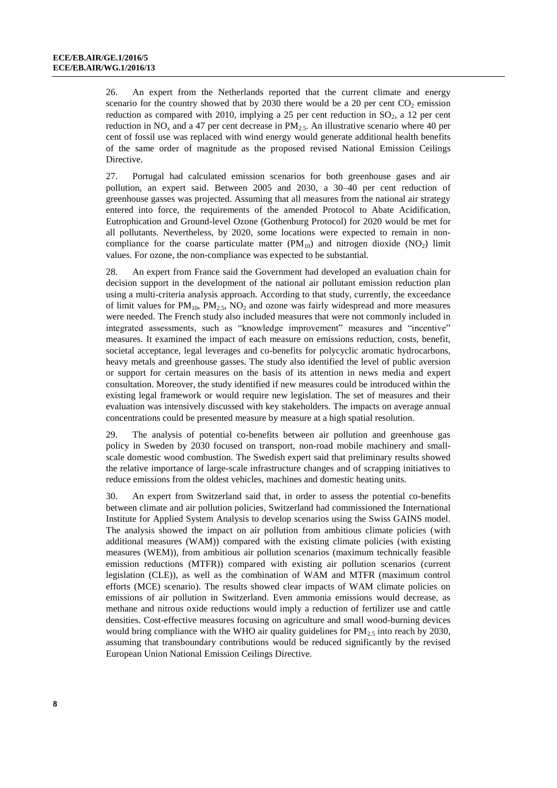26. An expert from the Netherlands reported that the current climate and energy scenario for the country showed that by 2030 there would be a 20 per cent  $CO<sub>2</sub>$  emission reduction as compared with 2010, implying a 25 per cent reduction in  $SO_2$ , a 12 per cent reduction in NO<sub>x</sub> and a 47 per cent decrease in  $PM<sub>2.5</sub>$ . An illustrative scenario where 40 per cent of fossil use was replaced with wind energy would generate additional health benefits of the same order of magnitude as the proposed revised National Emission Ceilings Directive.

27. Portugal had calculated emission scenarios for both greenhouse gases and air pollution, an expert said. Between 2005 and 2030, a 30–40 per cent reduction of greenhouse gasses was projected. Assuming that all measures from the national air strategy entered into force, the requirements of the amended Protocol to Abate Acidification, Eutrophication and Ground-level Ozone (Gothenburg Protocol) for 2020 would be met for all pollutants. Nevertheless, by 2020, some locations were expected to remain in noncompliance for the coarse particulate matter  $(PM_{10})$  and nitrogen dioxide  $(NO_2)$  limit values. For ozone, the non-compliance was expected to be substantial.

28. An expert from France said the Government had developed an evaluation chain for decision support in the development of the national air pollutant emission reduction plan using a multi-criteria analysis approach. According to that study, currently, the exceedance of limit values for  $PM_{10}$ ,  $PM_{2.5}$ ,  $NO<sub>2</sub>$  and ozone was fairly widespread and more measures were needed. The French study also included measures that were not commonly included in integrated assessments, such as "knowledge improvement" measures and "incentive" measures. It examined the impact of each measure on emissions reduction, costs, benefit, societal acceptance, legal leverages and co-benefits for polycyclic aromatic hydrocarbons, heavy metals and greenhouse gasses. The study also identified the level of public aversion or support for certain measures on the basis of its attention in news media and expert consultation. Moreover, the study identified if new measures could be introduced within the existing legal framework or would require new legislation. The set of measures and their evaluation was intensively discussed with key stakeholders. The impacts on average annual concentrations could be presented measure by measure at a high spatial resolution.

29. The analysis of potential co-benefits between air pollution and greenhouse gas policy in Sweden by 2030 focused on transport, non-road mobile machinery and smallscale domestic wood combustion. The Swedish expert said that preliminary results showed the relative importance of large-scale infrastructure changes and of scrapping initiatives to reduce emissions from the oldest vehicles, machines and domestic heating units.

30. An expert from Switzerland said that, in order to assess the potential co-benefits between climate and air pollution policies, Switzerland had commissioned the International Institute for Applied System Analysis to develop scenarios using the Swiss GAINS model. The analysis showed the impact on air pollution from ambitious climate policies (with additional measures (WAM)) compared with the existing climate policies (with existing measures (WEM)), from ambitious air pollution scenarios (maximum technically feasible emission reductions (MTFR)) compared with existing air pollution scenarios (current legislation (CLE)), as well as the combination of WAM and MTFR (maximum control efforts (MCE) scenario). The results showed clear impacts of WAM climate policies on emissions of air pollution in Switzerland. Even ammonia emissions would decrease, as methane and nitrous oxide reductions would imply a reduction of fertilizer use and cattle densities. Cost-effective measures focusing on agriculture and small wood-burning devices would bring compliance with the WHO air quality guidelines for  $PM_{2.5}$  into reach by 2030, assuming that transboundary contributions would be reduced significantly by the revised European Union National Emission Ceilings Directive.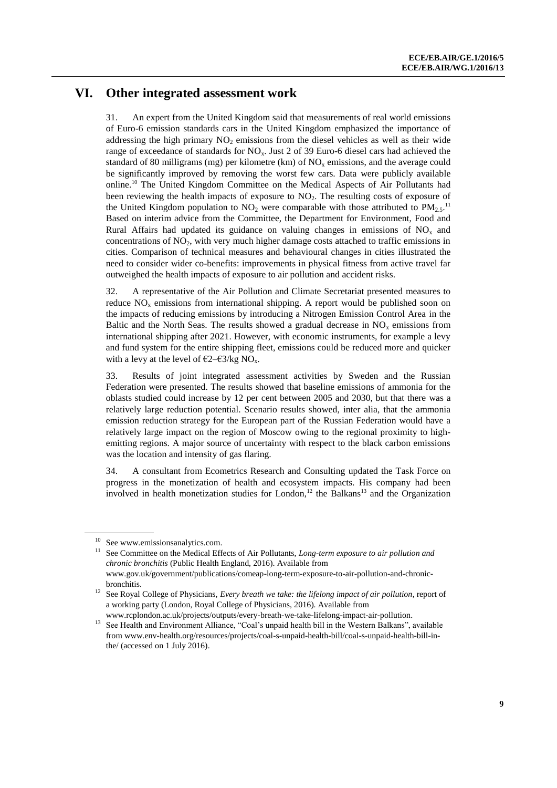#### **VI. Other integrated assessment work**

31. An expert from the United Kingdom said that measurements of real world emissions of Euro-6 emission standards cars in the United Kingdom emphasized the importance of addressing the high primary  $NO<sub>2</sub>$  emissions from the diesel vehicles as well as their wide range of exceedance of standards for  $NO<sub>x</sub>$ . Just 2 of 39 Euro-6 diesel cars had achieved the standard of 80 milligrams (mg) per kilometre (km) of  $NO<sub>x</sub>$  emissions, and the average could be significantly improved by removing the worst few cars. Data were publicly available online.<sup>10</sup> The United Kingdom Committee on the Medical Aspects of Air Pollutants had been reviewing the health impacts of exposure to  $NO<sub>2</sub>$ . The resulting costs of exposure of the United Kingdom population to  $NO_2$  were comparable with those attributed to  $PM_{2.5}$ .<sup>11</sup> Based on interim advice from the Committee, the Department for Environment, Food and Rural Affairs had updated its guidance on valuing changes in emissions of  $NO<sub>x</sub>$  and concentrations of  $NO<sub>2</sub>$ , with very much higher damage costs attached to traffic emissions in cities. Comparison of technical measures and behavioural changes in cities illustrated the need to consider wider co-benefits: improvements in physical fitness from active travel far outweighed the health impacts of exposure to air pollution and accident risks.

32. A representative of the Air Pollution and Climate Secretariat presented measures to reduce  $NO<sub>x</sub>$  emissions from international shipping. A report would be published soon on the impacts of reducing emissions by introducing a Nitrogen Emission Control Area in the Baltic and the North Seas. The results showed a gradual decrease in  $NO<sub>x</sub>$  emissions from international shipping after 2021. However, with economic instruments, for example a levy and fund system for the entire shipping fleet, emissions could be reduced more and quicker with a levy at the level of  $\epsilon$ 2– $\epsilon$ 3/kg NO<sub>x</sub>.

33. Results of joint integrated assessment activities by Sweden and the Russian Federation were presented. The results showed that baseline emissions of ammonia for the oblasts studied could increase by 12 per cent between 2005 and 2030, but that there was a relatively large reduction potential. Scenario results showed, inter alia, that the ammonia emission reduction strategy for the European part of the Russian Federation would have a relatively large impact on the region of Moscow owing to the regional proximity to highemitting regions. A major source of uncertainty with respect to the black carbon emissions was the location and intensity of gas flaring.

34. A consultant from Ecometrics Research and Consulting updated the Task Force on progress in the monetization of health and ecosystem impacts. His company had been involved in health monetization studies for London,<sup>12</sup> the Balkans<sup>13</sup> and the Organization

See www.emissionsanalytics.com.

<sup>&</sup>lt;sup>11</sup> See Committee on the Medical Effects of Air Pollutants, *Long-term exposure to air pollution and chronic bronchitis* (Public Health England, 2016). Available from [www.gov.uk/government/publications/comeap-long-term-exposure-to-air-pollution-and-chronic](http://www.gov.uk/government/publications/comeap-long-term-exposure-to-air-pollution-and-chronic-bronchitis)[bronchitis.](http://www.gov.uk/government/publications/comeap-long-term-exposure-to-air-pollution-and-chronic-bronchitis) 

<sup>12</sup> See Royal College of Physicians, *Every breath we take: the lifelong impact of air pollution*, report of a working party (London, Royal College of Physicians, 2016). Available from [www.rcplondon.ac.uk/projects/outputs/every-breath-we-take-lifelong-impact-air-pollution.](http://www.rcplondon.ac.uk/projects/outputs/every-breath-we-take-lifelong-impact-air-pollution)

<sup>&</sup>lt;sup>13</sup> See Health and Environment Alliance, "Coal's unpaid health bill in the Western Balkans", available from [www.env-health.org/resources/projects/coal-s-unpaid-health-bill/coal-s-unpaid-health-bill-in](http://www.env-health.org/resources/projects/coal-s-unpaid-health-bill/coal-s-unpaid-health-bill-in-the/)[the/](http://www.env-health.org/resources/projects/coal-s-unpaid-health-bill/coal-s-unpaid-health-bill-in-the/) (accessed on 1 July 2016).